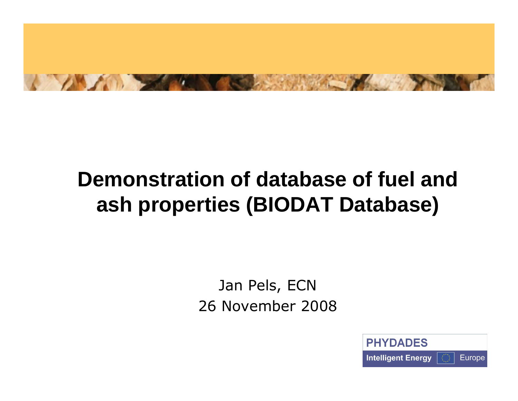

## **Demonstration of database of fuel and ash properties (BIODAT Database)**

Jan Pels, ECN26 November 2008

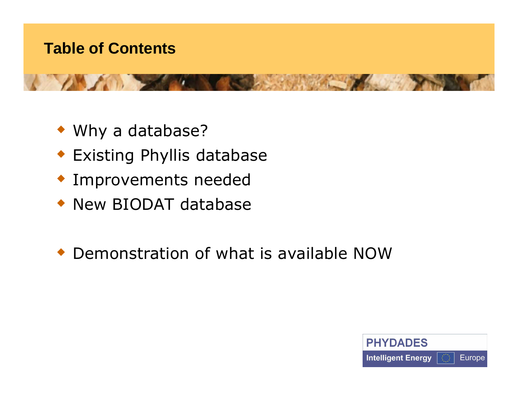## **Table of Contents**



- Why a database?
- Existing Phyllis database
- Improvements needed
- New BIODAT database
- Demonstration of what is available NOW

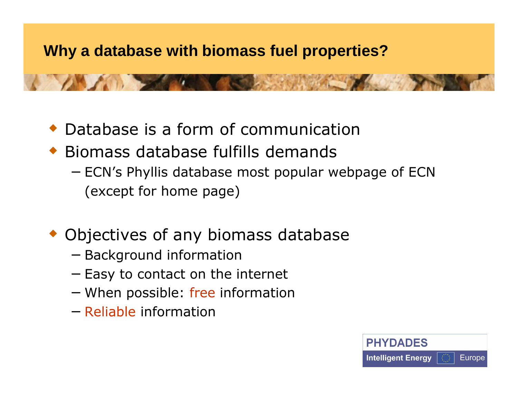## **Why a database with biomass fuel properties?**

- Database is a form of communication
- Biomass database fulfills demands
	- − ECN's Phyllis database most popular webpage of ECN (except for home page)
- Objectives of any biomass database
	- − Background information
	- − Easy to contact on the internet
	- − When possible: free information
	- − Reliable information

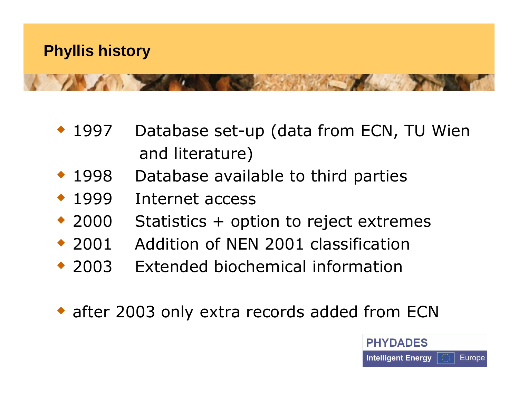

- $* 1997$ Database set-up (data from ECN, TU Wien and literature)
- $\cdot$  1998 Database available to third parties
- $\cdot$  1999 Internet access
- $\div$  2000 Statistics  $+$  option to reject extremes
- $\div$  2001 2001 Addition of NEN 2001 classification
- $\div$  2003 Extended biochemical information
- after 2003 only extra records added from ECN

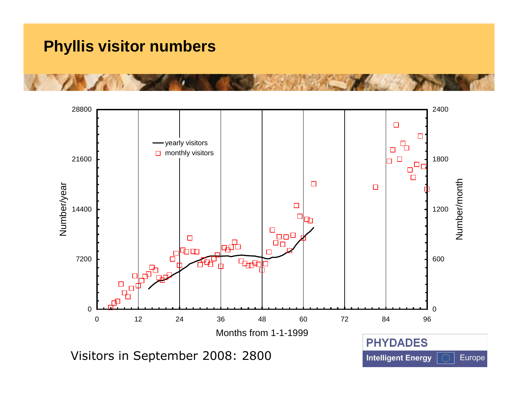### **Phyllis visitor numbers**

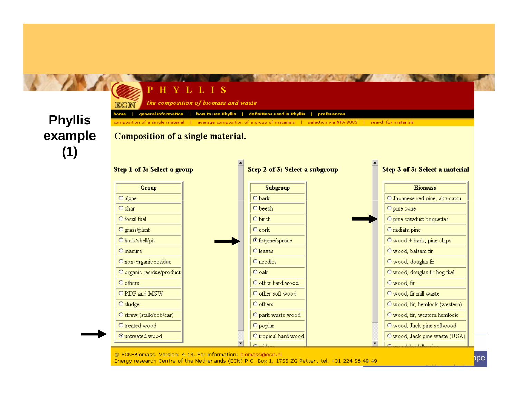





Energy research Centre of the Netherlands (ECN) P.O. Box 1, 1755 ZG Petten, tel. +31 224 56 49 49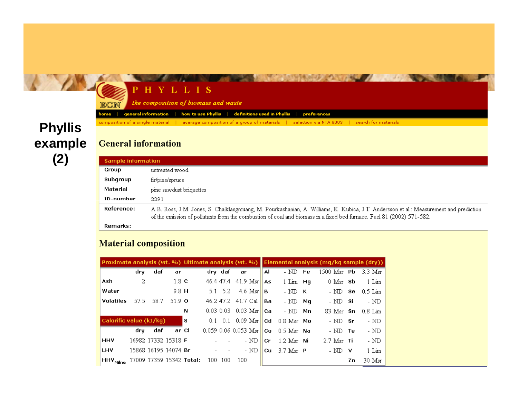#### **Phyllis** example  $\binom{7}{4}$

#### **STARBOOK** PHYLLIS the composition of biomass and waste ECN how to use Phyllis | definitions used in Phyllis | general information l preferences home composition of a single material | average composition of a group of materials | selection via NTA 8003 | search for materials

#### **General information**

| <b>Sample information</b> |                                                                                                                                                                                                                                                                |
|---------------------------|----------------------------------------------------------------------------------------------------------------------------------------------------------------------------------------------------------------------------------------------------------------|
| Group                     | untreated wood                                                                                                                                                                                                                                                 |
| Subgroup                  | fir/pine/spruce                                                                                                                                                                                                                                                |
| Material                  | pine sawdust briquettes                                                                                                                                                                                                                                        |
| <b>ID-numher</b>          | 2291                                                                                                                                                                                                                                                           |
| Reference:                | A.B. Ross, J.M. Jones, S. Chaiklangmuang, M. Pourkashanian, A. Williams, K. Kubica, J.T. Andersson et al.: Measurement and prediction<br>of the emission of pollutants from the combustion of coal and biomass in a fixed bed furnace. Fuel 81 (2002) 571-582. |
| Remarks:                  |                                                                                                                                                                                                                                                                |

#### **Material composition**

|                         |      |       |                      |                          |     |                 |                        |       |                            |    | Proximate analysis (wt. %) Ultimate analysis (wt. %) Elemental analysis (mg/kg sample (dry)) |     |           |
|-------------------------|------|-------|----------------------|--------------------------|-----|-----------------|------------------------|-------|----------------------------|----|----------------------------------------------------------------------------------------------|-----|-----------|
|                         | dry  | daf   | ar                   |                          |     | dry daf         | ar                     | Al    | - ND                       | Fe | $1500$ Msr $Pb$                                                                              |     | -3.3 Msr  |
| Ash                     | 2    |       | $1.8\,c$             |                          |     | 46.4.47.4       | $41.9$ Msr             | As    | $1$ Lim $Hq$               |    | $0$ Msr $Sb$                                                                                 |     | 1 Lim     |
| Water                   |      |       | $9.8$ H              |                          |     | $5.1 \quad 5.2$ | 4.6 Msr $  $ <b>B</b>  |       | $-ND$ K                    |    | $-$ ND $-$ Se $-$                                                                            |     | - 0.5 Lim |
| <b>Volatiles</b>        | 57.5 | -58.7 | 51.9 $\sigma$        |                          |     |                 | 46.2 47.2 41.7 Cal     | Ba    | $-ND$                      | Mg | $- \text{ND}$ si                                                                             |     | - ND      |
|                         |      |       |                      | N                        |     |                 | $0.03$ 0.03 0.03 Msr   | l Cal | $-ND$                      | Mn | 83 Msr <b>Sn</b>                                                                             |     | 0.8 Lim   |
| Calorific value (kJ/kg) |      |       |                      | l s                      |     |                 | $0.1$ 0.1 0.09 Msr     | ∣Cd   | $0.8$ $Msr$ $Mo$           |    | $-$ ND $-$ Sr                                                                                |     | - ND      |
|                         | drv. | daf   | ar Cl                |                          |     |                 | $0.059$ 0.06 0.053 Msr | Co    | $0.5$ Msr $\,$ Na          |    | $-$ ND $-$ Te                                                                                |     | - ND      |
| <b>HHV</b>              |      |       | 16982 17332 15318 F  |                          |     |                 | - ND                   | Cr.   | $1.2$ Msr Ni               |    | $2.7$ Msr Ti                                                                                 |     | - $ND$    |
| LHV                     |      |       | 15868 16195 14074 Br |                          |     |                 | - ND                   | Cu.   | $3.7$ Msr $\blacksquare$ P |    | - ND                                                                                         | - V | 1 Lim     |
| HHV <sub>Milne</sub>    |      |       |                      | 17009 17359 15342 Total: | 100 | -100            | 100                    |       |                            |    |                                                                                              | Zn. | 30 Msr    |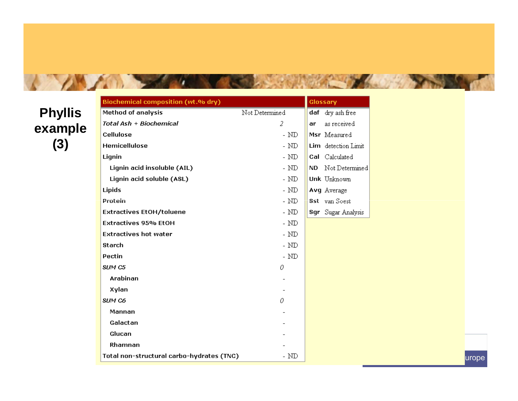### **Phyllis** example  $(3)$

A AMARINA SALAMAN

| Biochemical composition (Wt.Wo dry)       |                | Glossary            |
|-------------------------------------------|----------------|---------------------|
| <b>Method of analysis</b>                 | Not Determined | daf dry ash free    |
| Total Ash + Biochemical                   | 2              | as received<br>ar   |
| Cellulose                                 | - $ND$         | Msr Measured        |
| <b>Hemicellulose</b>                      | - $ND$         | Lim detection Limit |
| Lignin                                    | - ${\rm ND}$   | Cal Calculated      |
| Lignin acid insoluble (AIL)               | - $\rm{ND}$    | ND Not Determined   |
| Lignin acid soluble (ASL)                 | - $\rm{ND}$    | Unk Unknown         |
| Lipids                                    | - $ND$         | Avg Average         |
| Protein                                   | - $ND$         | Sst van Soest       |
| <b>Extractives EtOH/toluene</b>           | - $ND$         | Sgr Sugar Analysis  |
| <b>Extractives 95% EtOH</b>               | - $\rm{ND}$    |                     |
| <b>Extractives hot water</b>              | - $\rm{ND}$    |                     |
| <b>Starch</b>                             | - $ND$         |                     |
| Pectin                                    | - $ND$         |                     |
| SUM C5                                    | 0              |                     |
| Arabinan                                  |                |                     |
| Xylan                                     |                |                     |
| SUM C6                                    | 0              |                     |
| Mannan                                    |                |                     |
| Galactan                                  |                |                     |
| Glucan                                    |                |                     |
| Rhamnan                                   |                |                     |
| Total non-structural carbo-hydrates (TNC) | - $ND$         |                     |

THE RESIDENCE OF PERSONAL PROPERTY.

urope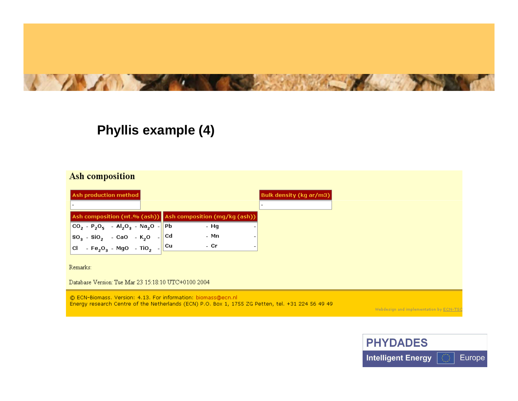

#### Phyllis example (4)

#### Ash composition

| <b>Ash production method</b>                                                                                                                                         |      | Bulk density (kg ar/m3) |
|----------------------------------------------------------------------------------------------------------------------------------------------------------------------|------|-------------------------|
|                                                                                                                                                                      |      |                         |
| Ash composition (wt.% (ash)) Ash composition (mg/kg (ash))                                                                                                           |      |                         |
|                                                                                                                                                                      | - Hg |                         |
|                                                                                                                                                                      | - Mn |                         |
| $\begin{bmatrix} 60_2 - P_2O_5 - Al_2O_3 - Na_2O \\ 8O_3 - 8iO_2 - CaO - K_2O \end{bmatrix}$ pb<br>cl - Fe <sub>2</sub> O <sub>3</sub> - MgO - TiO <sub>2</sub> - Cu | - Cr |                         |
|                                                                                                                                                                      |      |                         |

Remarks:

Database Version: Tue Mar 23 15:18:10 UTC+0100 2004

© ECN-Biomass, Version: 4.13. For information: biomass@ecn.nl Energy research Centre of the Netherlands (ECN) P.O. Box 1, 1755 ZG Petten, tel. +31 224 56 49 49

Webdesign and implementation by ECN-TS

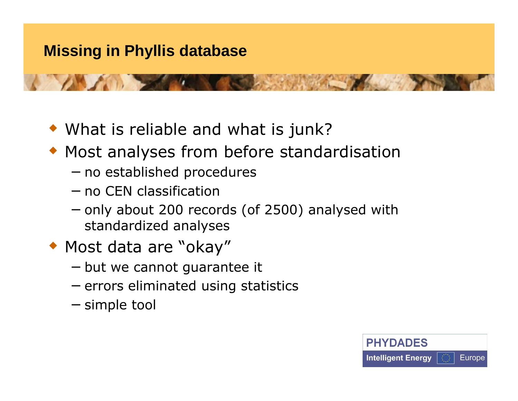- What is reliable and what is junk?
- Most analyses from before standardisation
	- − no established procedures
	- − no CEN classification
	- − only about 200 records (of 2500) analysed with standardized analyses
- Most data are "okay"
	- − but we cannot guarantee it
	- − errors eliminated using statistics
	- − simple tool

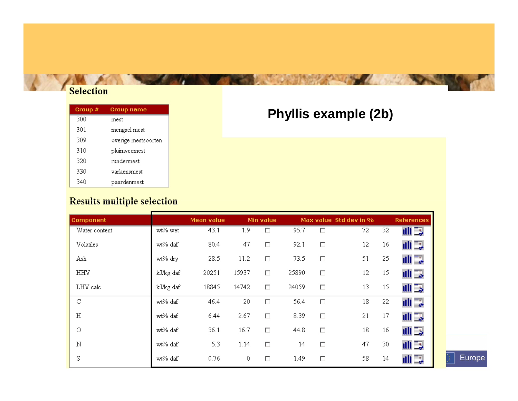#### Selection

| Group # | Group name          |
|---------|---------------------|
| 300     | mest                |
| 301     | mengsel mest        |
| 309     | overige mestsoorten |
| 310     | pluimveemest        |
| 320     | nindermest          |
| 330     | varkensmest         |
| 340     | paardenmest         |

### Phyllis example (2b)

#### **Results multiple selection**

| <b>Component</b> |           | <b>Mean value</b> |       | Min value |       |        | Max value Std dev in % |    | <b>References</b> |
|------------------|-----------|-------------------|-------|-----------|-------|--------|------------------------|----|-------------------|
| Water content    | wt% wet   | 43.1              | 1.9   | г         | 95.7  | П      | 72                     | 32 | 山耳                |
| Volatiles        | wt% daf   | 80.4              | 47    | П         | 92.1  | $\Box$ | 12                     | 16 | 山耳                |
| Ash              | wt% dry   | 28.5              | 11.2  | $\Box$    | 73.5  | П      | 51                     | 25 | 山耳                |
| <b>HHV</b>       | kJ/kg daf | 20251             | 15937 | $\Box$    | 25890 | $\Box$ | 12                     | 15 | 山耳                |
| LHV calc         | kJ/kg daf | 18845             | 14742 | $\Box$    | 24059 | $\Box$ | 13                     | 15 | 山耳                |
| C                | wt% daf   | 46.4              | 20    | $\Box$    | 56.4  | $\Box$ | 18                     | 22 | 山耳                |
| $\rm H$          | wt% daf   | 6.44              | 2.67  | $\Box$    | 8.39  | $\Box$ | 21                     | 17 | 山耳                |
| О                | wt% daf   | 36.1              | 16.7  | $\Box$    | 44.8  | $\Box$ | 18                     | 16 | 山耳                |
| Ν                | wt% daf   | 5.3               | 1.14  | $\Box$    | 14    | $\Box$ | 47                     | 30 | 山耳                |
| S                | wt% daf   | 0.76              | 0     | $\Box$    | 1.49  | $\Box$ | 58                     | 14 | 山耳                |

Europe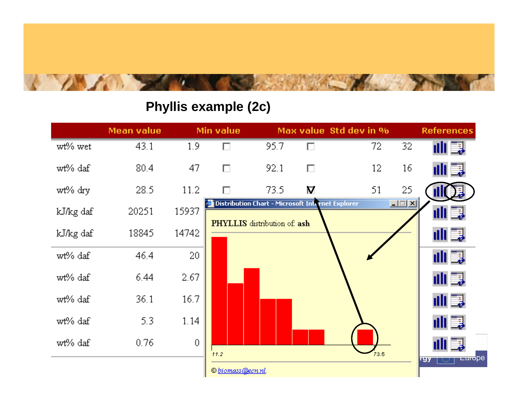

### Phyllis example (2c)

|           | Mean value |       | Min value                                        |                              |                         | Max value Std dev in % |               | <b>References</b>                                                 |
|-----------|------------|-------|--------------------------------------------------|------------------------------|-------------------------|------------------------|---------------|-------------------------------------------------------------------|
| wt% wet   | 43.1       | 1.9   | г                                                | 95.7                         | п                       | 72                     | 32            | 山耳                                                                |
| wt% daf   | 80.4       | 47    | П                                                | 92.1                         | П                       | 12                     | 16            | 山耳                                                                |
| wt% dry   | 28.5       | 11.2  | П                                                | 73.5                         | $\overline{\mathbf{M}}$ | 51                     | 25            |                                                                   |
| kJ/kg daf | 20251      | 15937 | Distribution Chart - Microsoft Internet Explorer |                              |                         |                        | $\Box \Box X$ | uli Ea                                                            |
| kJ/kg daf | 18845      | 14742 |                                                  | PHYLLIS distribution of: ash |                         |                        |               | 山島                                                                |
| wt% daf   | 46.4       | 20    |                                                  |                              |                         |                        |               | 山耳                                                                |
| wt% daf   | 6.44       | 2.67  |                                                  |                              |                         |                        |               | 山耳                                                                |
| wt% daf   | 36.1       | 16.7  |                                                  |                              |                         |                        |               | 山耳                                                                |
| wt% daf   | 5.3        | 1.14  |                                                  |                              |                         |                        |               | 山耳                                                                |
| wt% daf   | 0.76       | 0     | 11.2                                             |                              |                         | 73.5                   |               | uli Ea                                                            |
|           |            |       | © biomass@ecn.nl.                                |                              |                         |                        |               | <del>டளо</del> ре<br>rgy<br>$\mathcal{R}_{\mathbf{r},\mathbf{r}}$ |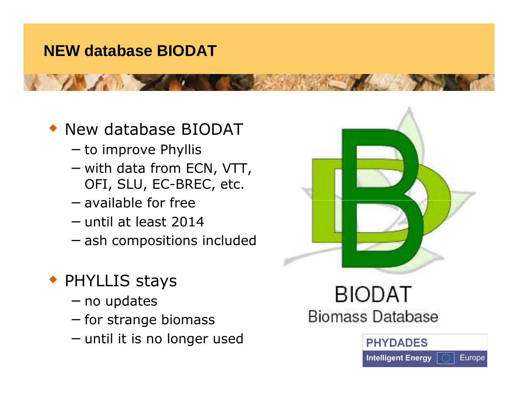## **NEW database BIODAT**

## New database BIODAT

- − to improve Phyllis
- − with data from ECN, VTT, OFI, SLU, EC-BREC, etc.
- − available for free
- − until at least 2014
- − ash compositions included

## PHYLLIS stays

- − no updates
- − for strange biomass
- − until it is no longer used



## **BIODAT Biomass Database**

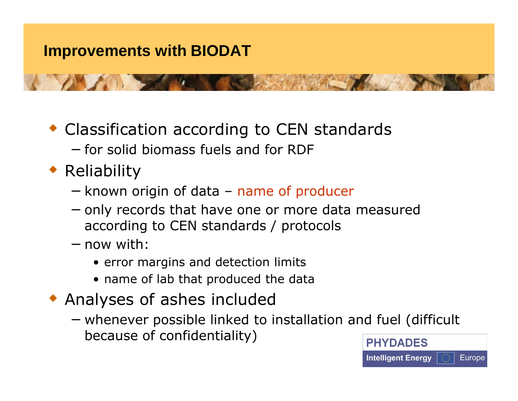- Classification according to CEN standards − for solid biomass fuels and for RDF
- ◆ Reliability
	- − known origin of data name of producer
	- − only records that have one or more data measured according to CEN standards / protocols
	- − now with:
		- **•** error margins and detection limits<br>• name of lab that produced the dat
		- name of lab that produced the data
- Analyses of ashes included
	- − whenever possible linked to installation and fuel (difficult because of confidentiality)

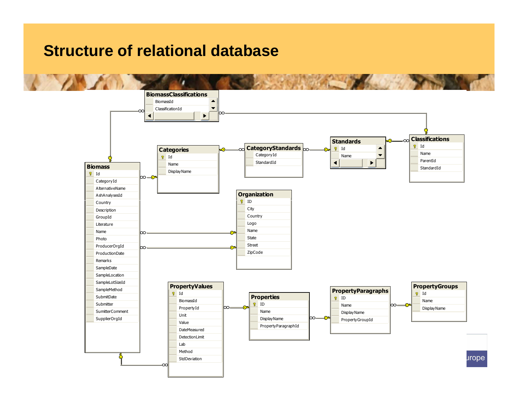### **Structure of relational database**

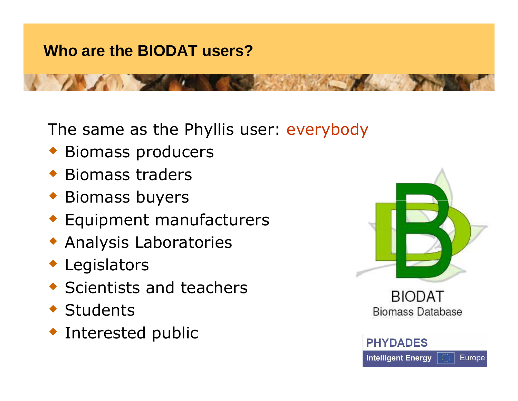## **Who are the BIODAT users?**

The same as the Phyllis user: everybody

- Biomass producers
- ◆ Biomass traders
- Biomass buyers
- Equipment manufacturers
- Analysis Laboratories
- Legislators
- Scientists and teachers
- ◆ Students
- Interested public



**BIODAT Biomass Database** 

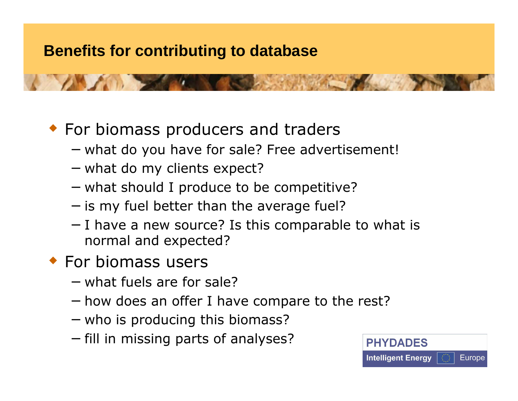## **Benefits for contributing to database**

## **For biomass producers and traders**

- − what do you have for sale? Free advertisement!
- − what do my clients expect?
- − what should I produce to be competitive?
- − is my fuel better than the average fuel?
- − I have a new source? Is this comparable to what is normal and expected?
- For biomass users
	- − what fuels are for sale?
	- − how does an offer I have compare to the rest?
	- − who is producing this biomass?
	- − fill in missing parts of analyses?

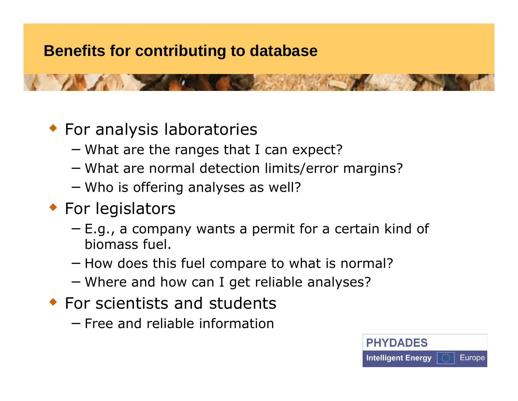## **Benefits for contributing to database**

## For analysis laboratories

- − What are the ranges that I can expect?
- − What are normal detection limits/error margins?
- − Who is offering analyses as well?<br>-

## ◆ For legislators

- − E.g., a company wants a permit for a certain kind of biomass fuel.
- − How does this fuel compare to what is normal?
- − Where and how can I get reliable analyses?
- **For scientists and students** 
	- − Free and reliable information

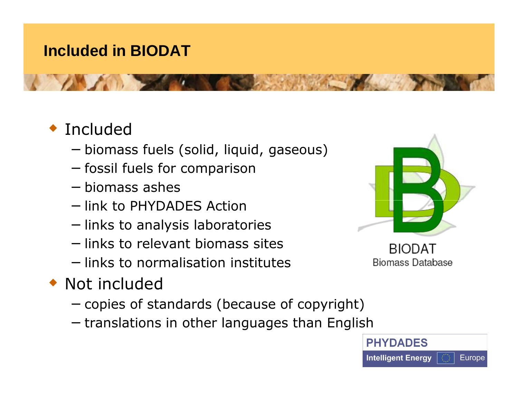## **Included in BIODAT**

# ◆ Included

- − biomass fuels (solid, liquid, gaseous)
- − fossil fuels for comparison
- − biomass ashes
- − link to PHYDADES Action
- − links to analysis laboratories
- − links to relevant biomass sites
- − links to normalisation institutes
- ◆ Not included
	- − copies of standards (because of copyright)
	- − translations in other languages than English



**BIODAT Biomass Database** 

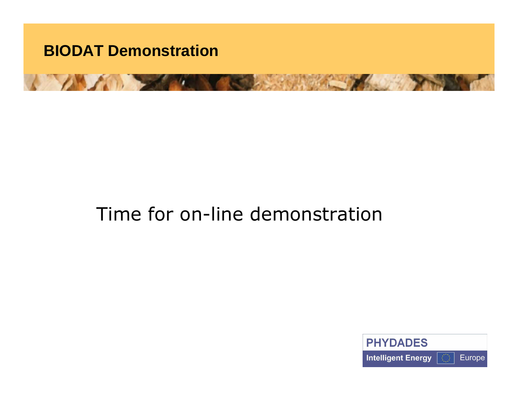

## Time for on-line demonstration

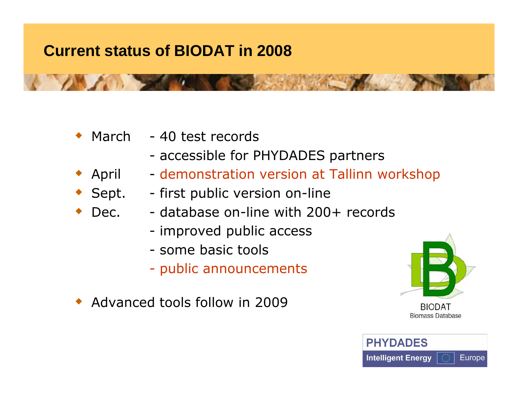## **Current status of BIODAT in 2008**

 $\bullet$  March - 40 test records

♦

- accessible for PHYDADES partners
- $\bullet$  April - demonstration version at Tallinn workshop
- ◆ Sept. -- first public version on-line
- ◆ Dec. database on-line with 200+ records
	- improved public access<br>come basis teels
	- some basic tools<br>Care assetting
	- public announcements
- Advanced tools follow in 2009